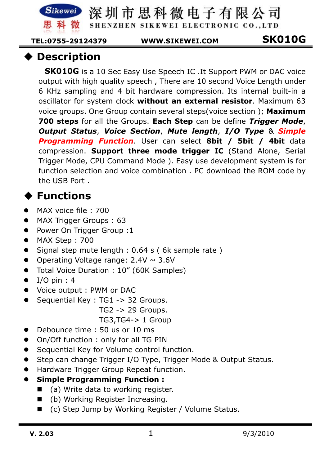Sikewei

深圳市思科微电子有限公司

SHENZHEN SIKEWEI ELECTRONIC CO., LTD

 **TEL:0755-29124379 WWW.SIKEWEI.COM SK010G** 

## **Description**

**SK010G** is a 10 Sec Easy Use Speech IC .It Support PWM or DAC voice output with high quality speech , There are 10 second Voice Length under 6 KHz sampling and 4 bit hardware compression. Its internal built-in a oscillator for system clock **without an external resistor**. Maximum 63 voice groups. One Group contain several steps(voice section ); **Maximum 700 steps** for all the Groups. **Each Step** can be define *Trigger Mode*, *Output Status*, *Voice Section*, *Mute length*, *I/O Type* & *Simple Programming Function*. User can select **8bit / 5bit / 4bit** data compression. **Support three mode trigger IC** (Stand Alone, Serial Trigger Mode, CPU Command Mode ). Easy use development system is for function selection and voice combination . PC download the ROM code by the USB Port .

# **Functions**

- $\bullet$ MAX voice file : 700
- $\bullet$ MAX Trigger Groups : 63
- $\bullet$ Power On Trigger Group :1
- $\bullet$ MAX Step : 700
- $\bullet$ Signal step mute length : 0.64 s ( 6k sample rate )
- $\bullet$ Operating Voltage range:  $2.4V \sim 3.6V$
- $\bullet$ Total Voice Duration : 10" (60K Samples)
- $\bullet$ I/O pin : 4
- $\bullet$ Voice output : PWM or DAC
- $\bullet$  Sequential Key : TG1 -> 32 Groups.
	- TG2 -> 29 Groups.

TG3,TG4-> 1 Group

- $\bullet$ Debounce time : 50 us or 10 ms
- $\bullet$ On/Off function : only for all TG PIN
- $\bullet$ Sequential Key for Volume control function.
- $\bullet$ Step can change Trigger I/O Type, Trigger Mode & Output Status.
- $\bullet$ Hardware Trigger Group Repeat function.
- $\bullet$  **Simple Programming Function :** 
	- (a) Write data to working register.
	- (b) Working Register Increasing.
	- (c) Step Jump by Working Register / Volume Status.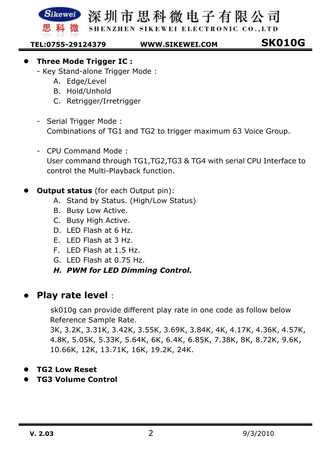SHENZHEN SIKEWEI ELECTRONIC CO., LTD

**SK010G TEL:0755-29124379 WWW.SIKEWEI.COM** 

 ${\bf S}$ ikewei

- $\bullet$  **Three Mode Trigger IC :** 
	- Key Stand-alone Trigger Mode :
		- A. Edge/Level
		- B. Hold/Unhold
		- C. Retrigger/Irretrigger
	- Serial Trigger Mode : Combinations of TG1 and TG2 to trigger maximum 63 Voice Group.
	- CPU Command Mode : User command through TG1,TG2,TG3 & TG4 with serial CPU Interface to control the Multi-Playback function.
- $\bullet$ **Output status** (for each Output pin):
	- A. Stand by Status. (High/Low Status)
	- B. Busy Low Active.
	- C. Busy High Active.
	- D. LED Flash at 6 Hz.
	- E. LED Flash at 3 Hz.
	- F. LED Flash at 1.5 Hz.
	- G. LED Flash at 0.75 Hz.
	- *H. PWM for LED Dimming Control.*

### $\bullet$ **Play rate level** :

 sk010g can provide different play rate in one code as follow below Reference Sample Rate.

3K, 3.2K, 3.31K, 3.42K, 3.55K, 3.69K, 3.84K, 4K, 4.17K, 4.36K, 4.57K, 4.8K, 5.05K, 5.33K, 5.64K, 6K, 6.4K, 6.85K, 7.38K, 8K, 8.72K, 9.6K, 10.66K, 12K, 13.71K, 16K, 19.2K, 24K.

- $\bullet$ **TG2 Low Reset**
- $\bullet$ **TG3 Volume Control**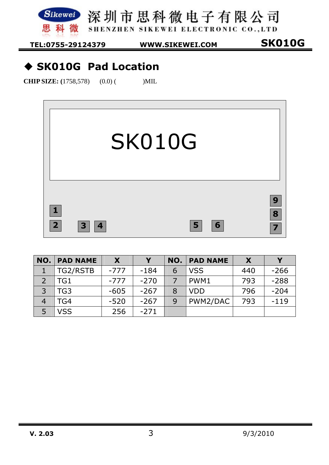Sikewei 深圳市思科微电子有限公司 科 微 黒 SHENZHEN SIKEWEI ELECTRONIC CO., LTD

**SK010G TEL:0755-29124379 WWW.SIKEWEI.COM** 

## **SK010G Pad Location**

**CHIP SIZE:** (1758,578) (0.0) ( )MIL



| NO. | <b>PAD NAME</b> | X.     | V      | NO. | <b>PAD NAME</b> |     | Y      |
|-----|-----------------|--------|--------|-----|-----------------|-----|--------|
|     | TG2/RSTB        | $-777$ | $-184$ | 6   | <b>VSS</b>      | 440 | $-266$ |
|     | TG1             | $-777$ | $-270$ |     | PWM1            | 793 | $-288$ |
| っ   | TG <sub>3</sub> | $-605$ | $-267$ | 8   | <b>VDD</b>      | 796 | $-204$ |
|     | TG4             | $-520$ | $-267$ | 9   | PWM2/DAC        | 793 | $-119$ |
|     | <b>VSS</b>      | 256    | $-271$ |     |                 |     |        |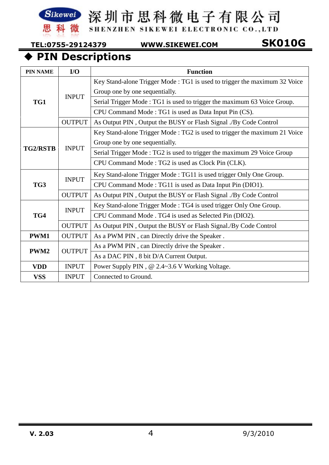

SHENZHEN SIKEWEI ELECTRONIC CO., LTD

**SK010G TEL:0755-29124379 WWW.SIKEWEI.COM** 

# **PIN Descriptions**

| <b>PIN NAME</b> | I/O           | <b>Function</b>                                                           |  |  |  |  |  |
|-----------------|---------------|---------------------------------------------------------------------------|--|--|--|--|--|
|                 |               | Key Stand-alone Trigger Mode: TG1 is used to trigger the maximum 32 Voice |  |  |  |  |  |
|                 | <b>INPUT</b>  | Group one by one sequentially.                                            |  |  |  |  |  |
| TG1             |               | Serial Trigger Mode: TG1 is used to trigger the maximum 63 Voice Group.   |  |  |  |  |  |
|                 |               | CPU Command Mode: TG1 is used as Data Input Pin (CS).                     |  |  |  |  |  |
|                 | <b>OUTPUT</b> | As Output PIN, Output the BUSY or Flash Signal ./By Code Control          |  |  |  |  |  |
|                 |               | Key Stand-alone Trigger Mode: TG2 is used to trigger the maximum 21 Voice |  |  |  |  |  |
|                 |               | Group one by one sequentially.                                            |  |  |  |  |  |
| <b>TG2/RSTB</b> | <b>INPUT</b>  | Serial Trigger Mode: TG2 is used to trigger the maximum 29 Voice Group    |  |  |  |  |  |
|                 |               | CPU Command Mode: TG2 is used as Clock Pin (CLK).                         |  |  |  |  |  |
|                 | <b>INPUT</b>  | Key Stand-alone Trigger Mode: TG11 is used trigger Only One Group.        |  |  |  |  |  |
| TG3             |               | CPU Command Mode: TG11 is used as Data Input Pin (DIO1).                  |  |  |  |  |  |
|                 | <b>OUTPUT</b> | As Output PIN, Output the BUSY or Flash Signal ./By Code Control          |  |  |  |  |  |
|                 | <b>INPUT</b>  | Key Stand-alone Trigger Mode: TG4 is used trigger Only One Group.         |  |  |  |  |  |
| TG4             |               | CPU Command Mode . TG4 is used as Selected Pin (DIO2).                    |  |  |  |  |  |
|                 | <b>OUTPUT</b> | As Output PIN, Output the BUSY or Flash Signal./By Code Control           |  |  |  |  |  |
| <b>PWM1</b>     | <b>OUTPUT</b> | As a PWM PIN, can Directly drive the Speaker.                             |  |  |  |  |  |
| PWM2            | <b>OUTPUT</b> | As a PWM PIN, can Directly drive the Speaker.                             |  |  |  |  |  |
|                 |               | As a DAC PIN, 8 bit D/A Current Output.                                   |  |  |  |  |  |
| <b>VDD</b>      | <b>INPUT</b>  | Power Supply PIN, @ 2.4~3.6 V Working Voltage.                            |  |  |  |  |  |
| <b>VSS</b>      | <b>INPUT</b>  | Connected to Ground.                                                      |  |  |  |  |  |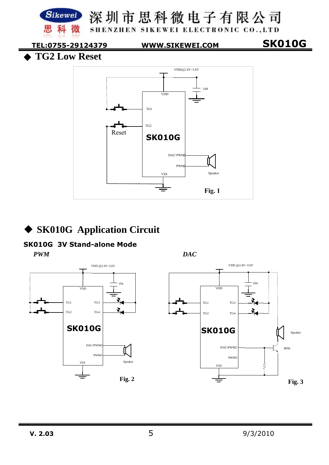

### **SK010G Application Circuit**

### **SK010G 3V Stand-alone Mode**

*PWM DAC* 



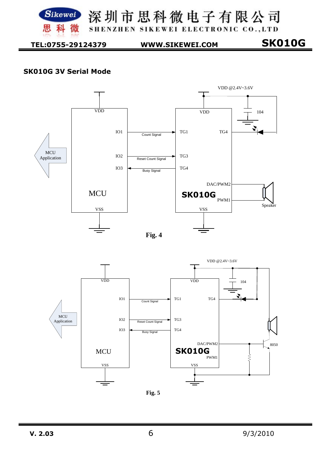

Sikewei 深圳市思科微电子有限公司 SHENZHEN SIKEWEI ELECTRONIC CO., LTD

**SK010G TEL:0755-29124379 WWW.SIKEWEI.COM** 

### **SK010G 3V Serial Mode**





VSS

**MCU** 

ξ

8050

**Fig. 5**

VSS

**SK010G** 

PWM1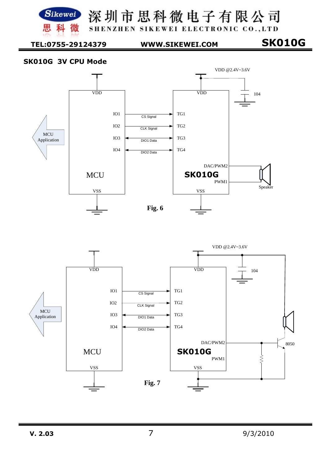

SHENZHEN SIKEWEI ELECTRONIC CO., LTD

**SK010G TEL:0755-29124379 WWW.SIKEWEI.COM** 

### **SK010G 3V CPU Mode**



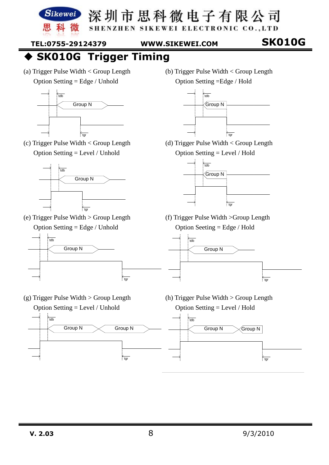

SHENZHEN SIKEWEI ELECTRONIC CO., LTD

**SK010G TEL:0755-29124379 WWW.SIKEWEI.COM** 

**SK010G Trigger Timing** 

(a) Trigger Pulse Width < Group Length Option Setting = Edge / Unhold



(c) Trigger Pulse Width < Group Length Option Setting = Level / Unhold



(e) Trigger Pulse Width > Group Length Option Setting = Edge / Unhold



(g) Trigger Pulse Width > Group Length Option Setting = Level / Unhold

(b) Trigger Pulse Width < Group Length Option Setting =Edge / Hold



(d) Trigger Pulse Width < Group Length Option Setting = Level / Hold



(f) Trigger Pulse Width >Group Length Option Seeting = Edge / Hold



(h) Trigger Pulse Width > Group Length Option Setting = Level / Hold

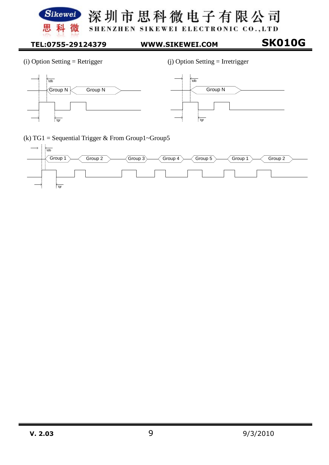

深圳市思科微电子有限公司 SHENZHEN SIKEWEI ELECTRONIC CO., LTD

### **SK010G TEL:0755-29124379 WWW.SIKEWEI.COM**

(i) Option Setting = Retrigger (j) Option Setting = Irretrigger





(k) TG1 = Sequential Trigger & From Group1~Group5

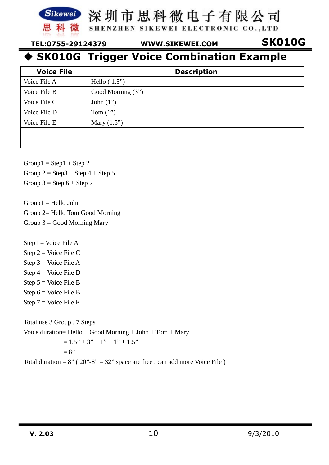

SHENZHEN SIKEWEI ELECTRONIC CO., LTD

**SK010G TEL:0755-29124379 WWW.SIKEWEI.COM** 

## **SK010G Trigger Voice Combination Example**

| <b>Voice File</b> | <b>Description</b> |
|-------------------|--------------------|
| Voice File A      | Hello $(1.5")$     |
| Voice File B      | Good Morning (3")  |
| Voice File C      | John $(1")$        |
| Voice File D      | Tom $(1")$         |
| Voice File E      | Mary $(1.5")$      |
|                   |                    |
|                   |                    |

 $Group1 = Step1 + Step2$ 

Group  $2 =$  Step  $3 +$  Step  $4 +$  Step  $5$ 

Group  $3 =$  Step  $6 +$  Step  $7$ 

Group1 = Hello John Group 2= Hello Tom Good Morning Group  $3 =$  Good Morning Mary

Step1 = Voice File A

Step 2 = Voice File C Step  $3 = \text{Voice File A}$ Step 4 = Voice File D Step  $5 = \text{Voice File } B$ Step  $6 = \text{Voice File } B$ Step 7 = Voice File E

Total use 3 Group , 7 Steps Voice duration= Hello + Good Morning + John + Tom + Mary  $= 1.5" + 3" + 1" + 1" + 1.5"$  $= 8"$ 

Total duration =  $8''$  ( $20'' - 8'' = 32''$  space are free, can add more Voice File)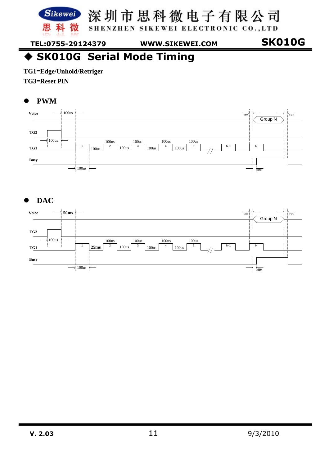

SHENZHEN SIKEWEI ELECTRONIC CO., LTD

**SK010G TEL:0755-29124379 WWW.SIKEWEI.COM** 

◆ SK010G Serial Mode Timing

**TG1=Edge/Unhold/Retriger** 

**TG3=Reset PIN** 

### $\bullet$ **PWM**



### $\bullet$ **DAC**

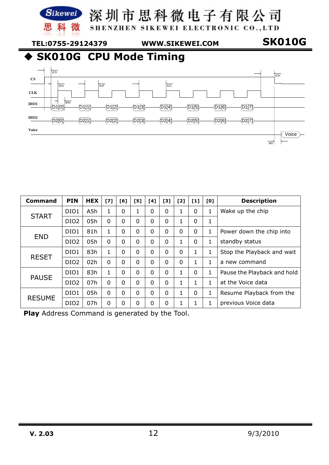

SHENZHEN SIKEWEI ELECTRONIC CO., LTD

**SK010G TEL:0755-29124379 WWW.SIKEWEI.COM** 



**SK010G CPU Mode Timing** 



| Command       | <b>PIN</b>       | <b>HEX</b> | 171          | F61 | [5]      | [4] | [3]      | [2]      | $[1]$        | [0]          | <b>Description</b>          |
|---------------|------------------|------------|--------------|-----|----------|-----|----------|----------|--------------|--------------|-----------------------------|
| <b>START</b>  | DIO1             | A5h        | $\mathbf{1}$ | 0   | 1        | 0   | 0        | 1        | $\Omega$     | 1            | Wake up the chip            |
|               | DIO <sub>2</sub> | 05h        | 0            | 0   | $\Omega$ | 0   | 0        |          | $\Omega$     | $\mathbf{1}$ |                             |
| <b>END</b>    | DIO1             | 81h        |              | 0   | $\Omega$ | 0   | $\Omega$ | $\Omega$ | $\Omega$     | 1            | Power down the chip into    |
|               | DIO <sub>2</sub> | 05h        | $\Omega$     | 0   | $\Omega$ | 0   | 0        | 1        | $\Omega$     | 1            | standby status              |
| <b>RESET</b>  | DIO1             | 83h        | 1            | 0   | $\Omega$ | 0   | 0        | $\Omega$ | 1            | 1            | Stop the Playback and wait  |
|               | DIO <sub>2</sub> | 02h        | $\Omega$     | 0   | $\Omega$ | 0   | $\Omega$ | $\Omega$ | $\mathbf{1}$ | $\mathbf{1}$ | a new command               |
| <b>PAUSE</b>  | DIO1             | 83h        | 1            | 0   | $\Omega$ | O   | O        | 1.       | $\Omega$     | 1            | Pause the Playback and hold |
|               | DIO <sub>2</sub> | 07h        | $\Omega$     | 0   | $\Omega$ | 0   | $\Omega$ | 1        | 1            | 1            | at the Voice data           |
| <b>RESUME</b> | DIO1             | 05h        | $\Omega$     | 0   | $\Omega$ | 0   | $\Omega$ | 1        | $\Omega$     | 1            | Resume Playback from the    |
|               | DIO <sub>2</sub> | 07h        | 0            | 0   | $\Omega$ | 0   | 0        | 1        | 1            | 1            | previous Voice data         |

**Play** Address Command is generated by the Tool.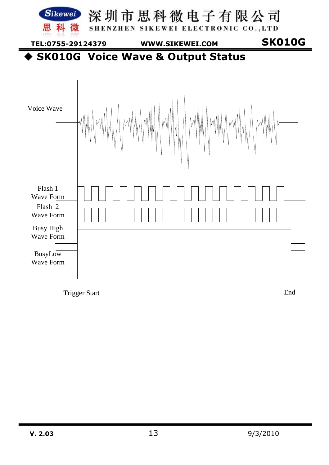

Trigger Start End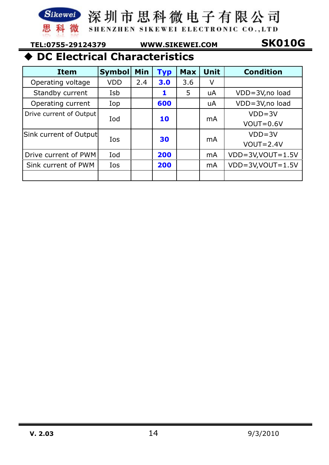SHENZHEN SIKEWEI ELECTRONIC CO., LTD

科 微

黒

**SK010G TEL:0755-29124379 WWW.SIKEWEI.COM** 

## **DC Electrical Characteristics**

| <b>Item</b>             | <b>Symbol</b> | Min | <b>Typ</b> | <b>Max</b> | <b>Unit</b> | <b>Condition</b>           |
|-------------------------|---------------|-----|------------|------------|-------------|----------------------------|
| Operating voltage       | <b>VDD</b>    | 2.4 | 3.0        | 3.6        | V           |                            |
| Standby current         | Isb           |     | 1          | 5          | uA          | VDD=3V,no load             |
| Operating current       | Iop           |     | 600        |            | uA          | VDD=3V,no load             |
| Drive current of Output | Iod           |     | 10         |            | mA          | $VDD = 3V$                 |
|                         |               |     |            |            |             | $VOUT=0.6V$                |
| Sink current of Output  | Ios           |     |            |            | mA          | $VDD = 3V$                 |
|                         |               |     | 30         |            |             | $VOUT=2.4V$                |
| Drive current of PWM    | Iod           |     | 200        |            | mA          | $VDD = 3V$ , $VOUT = 1.5V$ |
| Sink current of PWM     | Ios           |     | 200        |            | mA          | $VDD = 3V$ , $VOUT = 1.5V$ |
|                         |               |     |            |            |             |                            |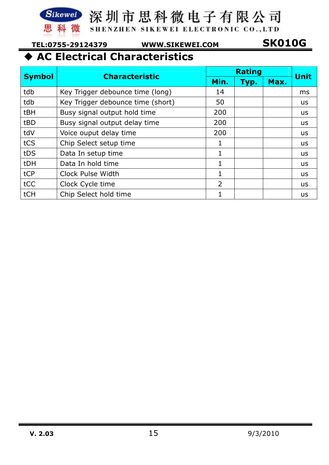

SHENZHEN SIKEWEI ELECTRONIC CO., LTD

**SK010G TEL:0755-29124379 WWW.SIKEWEI.COM** 

# **AC Electrical Characteristics**

|               | <b>Characteristic</b>             |      | <b>Rating</b> |      | <b>Unit</b> |
|---------------|-----------------------------------|------|---------------|------|-------------|
| <b>Symbol</b> |                                   | Min. | Typ.          | Max. |             |
| tdb           | Key Trigger debounce time (long)  | 14   |               |      | ms          |
| tdb           | Key Trigger debounce time (short) | 50   |               |      | <b>us</b>   |
| tBH           | Busy signal output hold time      | 200  |               |      | <b>us</b>   |
| tBD           | Busy signal output delay time     | 200  |               |      | <b>us</b>   |
| tdV           | Voice ouput delay time            | 200  |               |      | <b>US</b>   |
| tCS           | Chip Select setup time            | 1    |               |      | <b>US</b>   |
| tDS           | Data In setup time                | 1    |               |      | <b>us</b>   |
| tDH           | Data In hold time                 | 1    |               |      | <b>US</b>   |
| tCP           | Clock Pulse Width                 | 1    |               |      | <b>us</b>   |
| tCC           | Clock Cycle time                  | 2    |               |      | <b>us</b>   |
| tCH           | Chip Select hold time             | 1    |               |      | <b>us</b>   |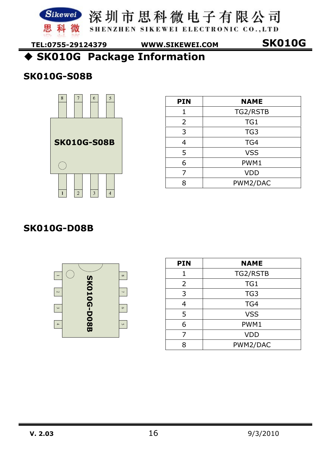



思科微 SHENZHEN SIKEWEI ELECTRONIC CO., LTD

**SK010G TEL:0755-29124379 WWW.SIKEWEI.COM** 

**SK010G Package Information** 

### **SK010G-S08B**



| <b>PIN</b> | <b>NAME</b>     |
|------------|-----------------|
| 1          | TG2/RSTB        |
| 2          | TG1             |
| 3          | TG <sub>3</sub> |
| 4          | TG4             |
| 5          | <b>VSS</b>      |
| 6          | PWM1            |
| 7          | <b>VDD</b>      |
| Q          | PWM2/DAC        |

### **SK010G-D08B**



| <b>PIN</b> | <b>NAME</b>     |
|------------|-----------------|
| 1          | TG2/RSTB        |
| 2          | TG1             |
| 3          | TG <sub>3</sub> |
| 4          | TG4             |
| 5          | <b>VSS</b>      |
| 6          | PWM1            |
| 7          | <b>VDD</b>      |
| R          | PWM2/DAC        |